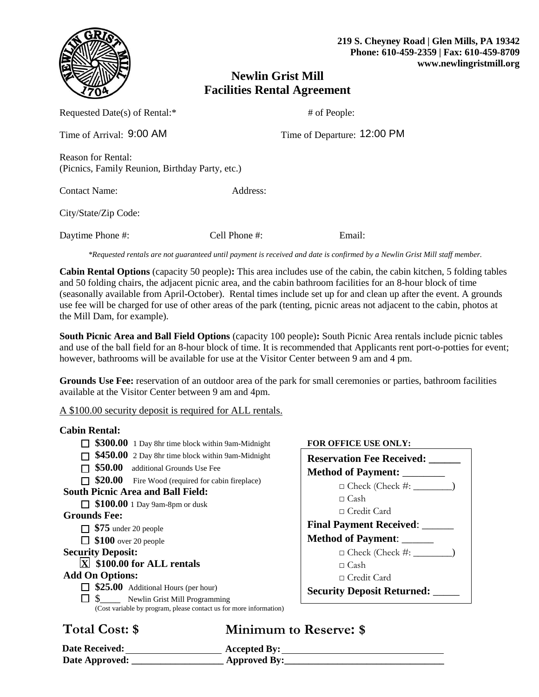

# **Newlin Grist Mill Facilities Rental Agreement**

| Requested Date(s) of Rental:*                                                |                  | # of People: |                             |
|------------------------------------------------------------------------------|------------------|--------------|-----------------------------|
| Time of Arrival: 9:00 AM                                                     |                  |              | Time of Departure: 12:00 PM |
| <b>Reason for Rental:</b><br>(Picnics, Family Reunion, Birthday Party, etc.) |                  |              |                             |
| <b>Contact Name:</b>                                                         | Address:         |              |                             |
| City/State/Zip Code:                                                         |                  |              |                             |
| Daytime Phone #:                                                             | Cell Phone $#$ : |              | Email:                      |

*\*Requested rentals are not guaranteed until payment is received and date is confirmed by a Newlin Grist Mill staff member.*

**Cabin Rental Options** (capacity 50 people)**:** This area includes use of the cabin, the cabin kitchen, 5 folding tables and 50 folding chairs, the adjacent picnic area, and the cabin bathroom facilities for an 8-hour block of time (seasonally available from April-October). Rental times include set up for and clean up after the event. A grounds use fee will be charged for use of other areas of the park (tenting, picnic areas not adjacent to the cabin, photos at the Mill Dam, for example).

**South Picnic Area and Ball Field Options** (capacity 100 people)**:** South Picnic Area rentals include picnic tables and use of the ball field for an 8-hour block of time. It is recommended that Applicants rent port-o-potties for event; however, bathrooms will be available for use at the Visitor Center between 9 am and 4 pm.

**Grounds Use Fee:** reservation of an outdoor area of the park for small ceremonies or parties, bathroom facilities available at the Visitor Center between 9 am and 4pm.

A \$100.00 security deposit is required for ALL rentals.

### **Cabin Rental:**

- **\$300.00** 1 Day 8hr time block within 9am-Midnight **FOR OFFICE USE ONLY:**
- **5450.00** 2 Day 8hr time block within 9am-Midnight
- **550.00** additional Grounds Use Fee
- $\Box$  **\$20.00** Fire Wood (required for cabin fireplace)

# **South Picnic Area and Ball Field:**

**5100.00** 1 Day 9am-8pm or dusk

- **Grounds Fee:**
	- **\$75** under 20 people
	- **5100** over 20 people

## **Security Deposit:**

### **<u><b>X**</u> \$100.00 for ALL rentals

- **Add On Options:** 
	- **525.00** Additional Hours (per hour)
	- $\Box$  \$ Newlin Grist Mill Programming
		- (Cost variable by program, please contact us for more information)

# **Total Cost: \$ Minimum to Reserve: \$**

| <b>Date Received:</b> | <b>Accepted By:</b> |
|-----------------------|---------------------|
| Date Approved:        | <b>Approved By:</b> |

| <b>Reservation Fee Received:</b>  |  |
|-----------------------------------|--|
| <b>Method of Payment:</b>         |  |
| $\Box$ Check (Check #: $\_\_$     |  |
| $\sqcap$ Cash                     |  |
| □ Credit Card                     |  |
| <b>Final Payment Received:</b>    |  |
| <b>Method of Payment:</b>         |  |
| $\Box$ Check (Check #: $\_\_$     |  |
| $\sqcap$ Cash                     |  |
| □ Credit Card                     |  |
| <b>Security Deposit Returned:</b> |  |
|                                   |  |